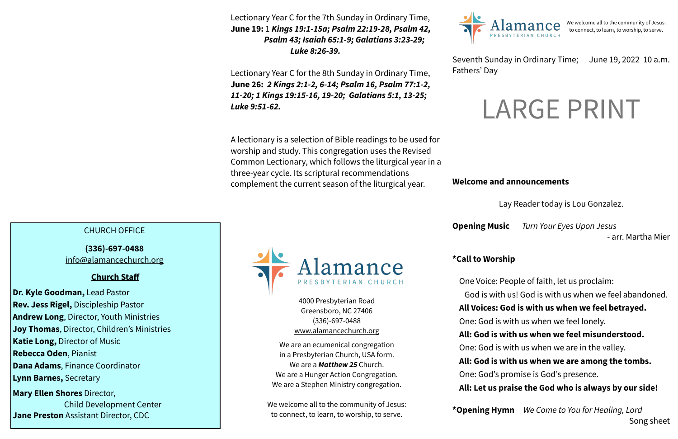### **Welcome and announcements**

Lay Reader today is Lou Gonzalez.

**Opening Music** *Turn Your Eyes Upon Jesus* 

- arr. Martha Mier

## **\*Call to Worship**

One Voice: People of faith, let us proclaim: God is with us! God is with us when we feel abandoned. **All Voices: God is with us when we feel betrayed.** One: God is with us when we feel lonely. **All: God is with us when we feel misunderstood.** One: God is with us when we are in the valley. **All: God is with us when we are among the tombs.** One: God's promise is God's presence. **All: Let us praise the God who is always by our side!**

**\*Opening Hymn** *We Come to You for Healing, Lord*  Song sheet

#### Seventh Sunday in Ordinary Time; June 19, 2022 10 a.m.

Fathers' Day



4000 Presbyterian Road

Greensboro, NC 27406 (336)-697-0488 [www.alamancechurch.org](http://www.alamancechurch.org)

**June 19:** 1 **Kings 19:1-15a; Psalm 22:19-28, Psalm 42,** Alamance We welcome all to the community of Jesus: Lectionary Year C for the 7th Sunday in Ordinary Time,  *Psalm 43; Isaiah 65:1-9; Galatians 3:23-29; Luke 8:26-39.*

> We are an ecumenical congregation in a Presbyterian Church, USA form. We are a *Matthew 25* Church. We are a Hunger Action Congregation. We are a Stephen Ministry congregation.

We welcome all to the community of Jesus: to connect, to learn, to worship, to serve.

We welcome all to the community of Jesus:<br>to connect, to learn, to worship, to serve.

## CHURCH OFFICE

**(336)-697-0488**  [info@alamancechurch.org](mailto:info@alamancechurch.org)

#### **Church Staff**

**Dr. Kyle Goodman,** Lead Pastor **Rev. Jess Rigel,** Discipleship Pastor **Andrew Long**, Director, Youth Ministries **Joy Thomas**, Director, Children's Ministries **Katie Long,** Director of Music **Rebecca Oden**, Pianist **Dana Adams**, Finance Coordinator **Lynn Barnes,** Secretary **Mary Ellen Shores** Director, Child Development Center

**Jane Preston** Assistant Director, CDC

Lectionary Year C for the 8th Sunday in Ordinary Time, **June 26:** *2 Kings 2:1-2, 6-14; Psalm 16, Psalm 77:1-2, 11-20; 1 Kings 19:15-16, 19-20; Galatians 5:1, 13-25; Luke 9:51-62.*

A lectionary is a selection of Bible readings to be used for worship and study. This congregation uses the Revised Common Lectionary, which follows the liturgical year in a three-year cycle. Its scriptural recommendations complement the current season of the liturgical year.



# LARGE PRINT